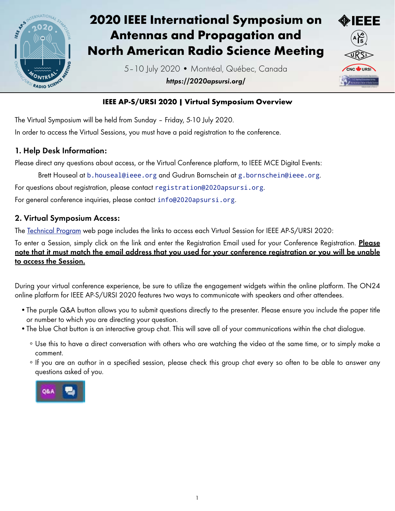

# 2020 IEEE International Symposium on Antennas and Propagation and North American Radio Science Meeting

5–10 July 2020 • Montréal, Québec, Canada *https://2020apsursi.org/*



### IEEE AP-S/URSI 2020 | Virtual Symposium Overview

The Virtual Symposium will be held from Sunday – Friday, 5-10 July 2020. In order to access the Virtual Sessions, you must have a paid registration to the conference.

### 1. Help Desk Information:

Please direct any questions about access, or the Virtual Conference platform, to IEEE MCE Digital Events:

Brett Houseal at [b.houseal@ieee.org](mailto:b.houseal%40ieee.org?subject=) and Gudrun Bornschein at [g.bornschein@ieee.org](mailto:g.bornschein%40ieee.org?subject=).

For questions about registration, please contact [registration@2020apsursi.org](mailto:registration%402020apsursi.org?subject=).

For general conference inquiries, please contact [info@2020apsursi.org](mailto:info%402020apsursi.org?subject=).

#### 2. Virtual Symposium Access:

The [Technical Program](https://2020apsursi.org/TechnicalProgram.asp) web page includes the links to access each Virtual Session for IEEE AP-S/URSI 2020:

To enter a Session, simply click on the link and enter the Registration Email used for your Conference Registration. Please note that it must match the email address that you used for your conference registration or you will be unable to access the Session.

During your virtual conference experience, be sure to utilize the engagement widgets within the online platform. The ON24 online platform for IEEE AP-S/URSI 2020 features two ways to communicate with speakers and other attendees.

- •The purple Q&A button allows you to submit questions directly to the presenter. Please ensure you include the paper title or number to which you are directing your question.
- •The blue Chat button is an interactive group chat. This will save all of your communications within the chat dialogue.
	- ∘ Use this to have a direct conversation with others who are watching the video at the same time, or to simply make a comment.
	- ∘ If you are an author in a specified session, please check this group chat every so often to be able to answer any questions asked of you.